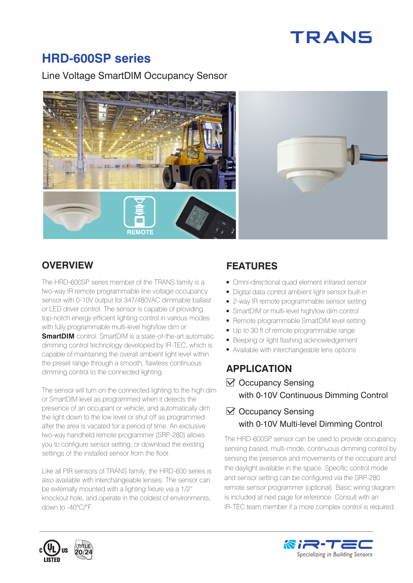# **TRANS**

# **HRD-600SP series**

Line Voltage SmartDIM Occupancy Sensor



### **OVERVIEW FEATURES**

The HRD-600SP series member of the TRANS family is a two-way IR remote programmable line voltage occupancy sensor with 0-10V output for 347/480VAC dimmable ballast or LED driver control. The sensor is capable of providing top-notch energy efficient lighting control in various modes with fully programmable multi-level high/low dim or **SmartDIM** control. SmartDIM is a state-of-the-art automatic dimming control technology developed by IR-TEC, which is capable of maintaining the overall ambient light level within the preset range through a smooth, flawless continuous dimming control to the connected lighting.

The sensor will turn on the connected lighting to the high dim or SmartDIM level as programmed when it detects the presence of an occupant or vehicle, and automatically dim the light down to the low level or shut off as programmed after the area is vacated for a period of time. An exclusive two-way handheld remote programmer (SRP-280) allows you to configure sensor setting, or download the existing settings of the installed sensor from the floor.

Like all PIR sensors of TRANS family, the HRD-600 series is also available with interchangeable lenses. The sensor can be externally mounted with a lighting fixture via a 1/2" knockout hole, and operate in the coldest of environments, down to -40°C/°F.

- Omni-directional quad element infrared sensor
- Digital data control ambient light sensor built-in
- 2-way IR remote programmable sensor setting
- SmartDIM or multi-level high/low dim control
- Remote programmable SmartDIM level setting
- Up to 30 ft of remote programmable range
- Beeping or light flashing acknowledgement
- Available with interchangeable lens options

## **APPLICATION**

 $\vee$  Occupancy Sensing with 0-10V Continuous Dimming Control

### $\boxtimes$  Occupancy Sensing with 0-10V Multi-level Dimming Control

The HRD-600SP sensor can be used to provide occupancy sensing based, multi-mode, continuous dimming control by sensing the presence and movements of the occupant and the daylight available in the space. Specific control mode and sensor setting can be configured via the SRP-280 remote sensor programmer (optional). Basic wiring diagram is included at next page for reference. Consult with an IR-TEC team member if a more complex control is required.